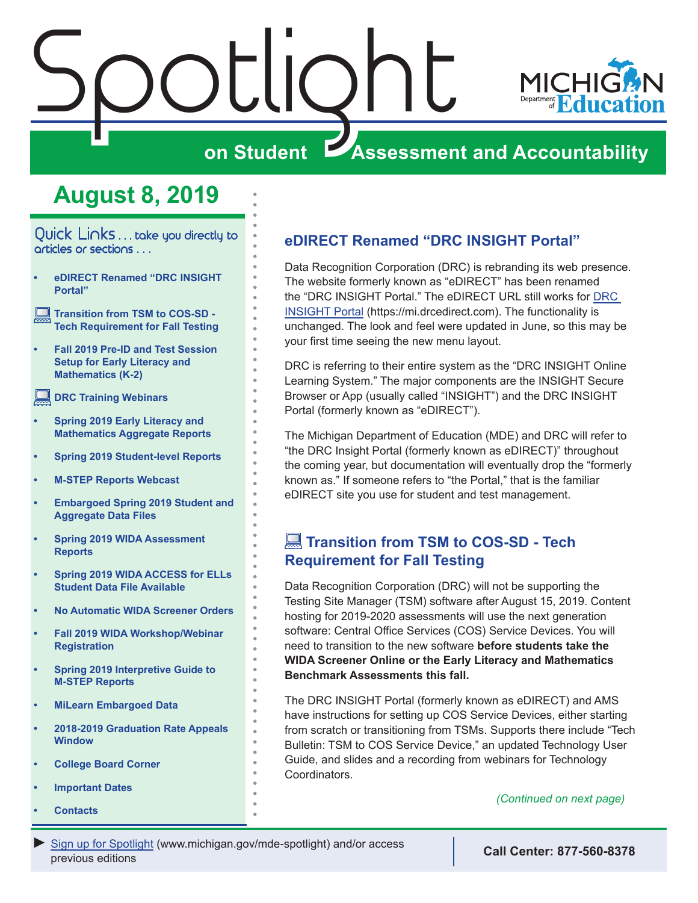<span id="page-0-0"></span>



## **on Student Assessment and Accountability**

## **August 8, 2019**

Quick Links . . . take you directly to articles or sections . . .

- **• eDIRECT Renamed "DRC INSIGHT Portal"**
- **Transition from TSM to COS-SD Tech Requirement for Fall Testing**
- **• [Fall 2019 Pre-ID and Test Session](#page-1-0)  [Setup for Early Literacy and](#page-1-0)  [Mathematics \(K-2\)](#page-1-0)**
- **[DRC Training Webinars](#page-2-0)**
- **• [Spring 2019 Early Literacy and](#page-2-0)  [Mathematics Aggregate Reports](#page-2-0)**
- **• [Spring 2019 Student-level Reports](#page-3-0)**
- **• [M-STEP Reports Webcast](#page-4-0)**
- **• [Embargoed Spring 2019 Student and](#page-4-0)  [Aggregate Data Files](#page-4-0)**
- **• [Spring 2019 WIDA Assessment](#page-4-0)  [Reports](#page-4-0)**
- **• [Spring 2019 WIDA ACCESS for ELLs](#page-5-0)  [Student Data File Available](#page-5-0)**
- **• [No Automatic WIDA Screener Orders](#page-5-0)**
- **• [Fall 2019 WIDA Workshop/Webinar](#page-5-0)  [Registration](#page-5-0)**
- **• [Spring 2019 Interpretive Guide to](#page-7-0)  [M-STEP Reports](#page-7-0)**
- **• [MiLearn Embargoed Data](#page-7-0)**
- **• [2018-2019 Graduation Rate Appeals](#page-8-0)  [Window](#page-8-0)**
- **• [College Board Corner](#page-10-0)**
- **• [Important Dates](#page-11-0)**
- **• [Contacts](#page-12-0)**

## **eDIRECT Renamed "DRC INSIGHT Portal"**

Data Recognition Corporation (DRC) is rebranding its web presence. The website formerly known as "eDIRECT" has been renamed the "DRC INSIGHT Portal." The eDIRECT URL still works for [DRC](https://mi.drcedirect.com)  [INSIGHT Portal](https://mi.drcedirect.com) (https://mi.drcedirect.com). The functionality is unchanged. The look and feel were updated in June, so this may be your first time seeing the new menu layout.

DRC is referring to their entire system as the "DRC INSIGHT Online Learning System." The major components are the INSIGHT Secure Browser or App (usually called "INSIGHT") and the DRC INSIGHT Portal (formerly known as "eDIRECT").

The Michigan Department of Education (MDE) and DRC will refer to "the DRC Insight Portal (formerly known as eDIRECT)" throughout the coming year, but documentation will eventually drop the "formerly known as." If someone refers to "the Portal," that is the familiar eDIRECT site you use for student and test management.

## **Transition from TSM to COS-SD - Tech Requirement for Fall Testing**

Data Recognition Corporation (DRC) will not be supporting the Testing Site Manager (TSM) software after August 15, 2019. Content hosting for 2019-2020 assessments will use the next generation software: Central Office Services (COS) Service Devices. You will need to transition to the new software **before students take the WIDA Screener Online or the Early Literacy and Mathematics Benchmark Assessments this fall.**

The DRC INSIGHT Portal (formerly known as eDIRECT) and AMS have instructions for setting up COS Service Devices, either starting from scratch or transitioning from TSMs. Supports there include "Tech Bulletin: TSM to COS Service Device," an updated Technology User Guide, and slides and a recording from webinars for Technology Coordinators.

*(Continued on next page)*

*►* [Sign up for Spotlight](https://public.govdelivery.com/accounts/MIMDE/subscriber/new) ([www.michigan.gov/mde-](www.michigan.gov/mde-spotlight)spotlight) and/or access previous editions **Call Center: 877-560-8378**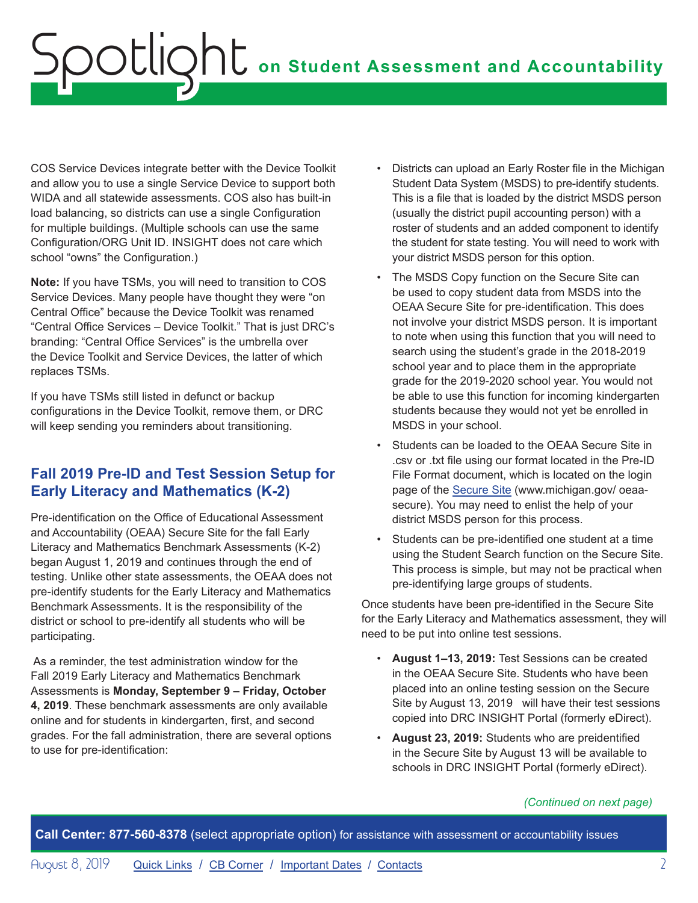<span id="page-1-0"></span>COS Service Devices integrate better with the Device Toolkit and allow you to use a single Service Device to support both WIDA and all statewide assessments. COS also has built-in load balancing, so districts can use a single Configuration for multiple buildings. (Multiple schools can use the same Configuration/ORG Unit ID. INSIGHT does not care which school "owns" the Configuration.)

**Note:** If you have TSMs, you will need to transition to COS Service Devices. Many people have thought they were "on Central Office" because the Device Toolkit was renamed "Central Office Services – Device Toolkit." That is just DRC's branding: "Central Office Services" is the umbrella over the Device Toolkit and Service Devices, the latter of which replaces TSMs.

If you have TSMs still listed in defunct or backup configurations in the Device Toolkit, remove them, or DRC will keep sending you reminders about transitioning.

## **Fall 2019 Pre-ID and Test Session Setup for Early Literacy and Mathematics (K-2)**

Pre-identification on the Office of Educational Assessment and Accountability (OEAA) Secure Site for the fall Early Literacy and Mathematics Benchmark Assessments (K-2) began August 1, 2019 and continues through the end of testing. Unlike other state assessments, the OEAA does not pre-identify students for the Early Literacy and Mathematics Benchmark Assessments. It is the responsibility of the district or school to pre-identify all students who will be participating.

 As a reminder, the test administration window for the Fall 2019 Early Literacy and Mathematics Benchmark Assessments is **Monday, September 9 – Friday, October 4, 2019**. These benchmark assessments are only available online and for students in kindergarten, first, and second grades. For the fall administration, there are several options to use for pre-identification:

- Districts can upload an Early Roster file in the Michigan Student Data System (MSDS) to pre-identify students. This is a file that is loaded by the district MSDS person (usually the district pupil accounting person) with a roster of students and an added component to identify the student for state testing. You will need to work with your district MSDS person for this option.
- The MSDS Copy function on the Secure Site can be used to copy student data from MSDS into the OEAA Secure Site for pre-identification. This does not involve your district MSDS person. It is important to note when using this function that you will need to search using the student's grade in the 2018-2019 school year and to place them in the appropriate grade for the 2019-2020 school year. You would not be able to use this function for incoming kindergarten students because they would not yet be enrolled in MSDS in your school.
- Students can be loaded to the OEAA Secure Site in .csv or .txt file using our format located in the Pre-ID File Format document, which is located on the login page of the [Secure Site](http://www.michigan.gov/oeaa-secure) (www.michigan.gov/ oeaasecure). You may need to enlist the help of your district MSDS person for this process.
- Students can be pre-identified one student at a time using the Student Search function on the Secure Site. This process is simple, but may not be practical when pre-identifying large groups of students.

Once students have been pre-identified in the Secure Site for the Early Literacy and Mathematics assessment, they will need to be put into online test sessions.

- **August 1–13, 2019:** Test Sessions can be created in the OEAA Secure Site. Students who have been placed into an online testing session on the Secure Site by August 13, 2019 will have their test sessions copied into DRC INSIGHT Portal (formerly eDirect).
- **August 23, 2019:** Students who are preidentified in the Secure Site by August 13 will be available to schools in DRC INSIGHT Portal (formerly eDirect).

#### *(Continued on next page)*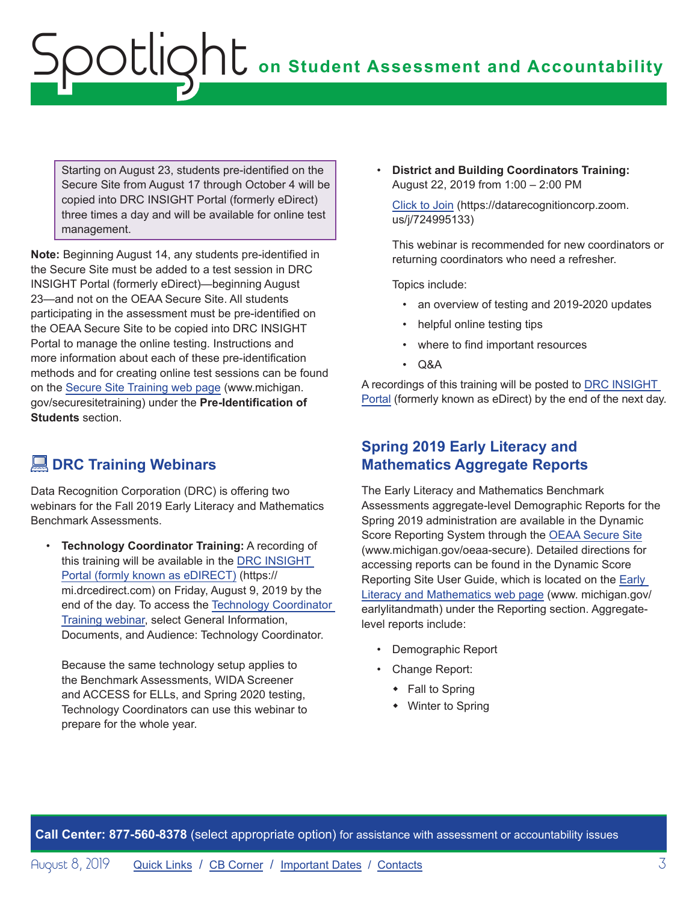<span id="page-2-0"></span>Starting on August 23, students pre-identified on the Secure Site from August 17 through October 4 will be copied into DRC INSIGHT Portal (formerly eDirect) three times a day and will be available for online test management.

**Note:** Beginning August 14, any students pre-identified in the Secure Site must be added to a test session in DRC INSIGHT Portal (formerly eDirect)—beginning August 23—and not on the OEAA Secure Site. All students participating in the assessment must be pre-identified on the OEAA Secure Site to be copied into DRC INSIGHT Portal to manage the online testing. Instructions and more information about each of these pre-identification methods and for creating online test sessions can be found on the [Secure Site Training web page](http://www.michigan.gov/securesitetraining) (www.michigan. gov/securesitetraining) under the **Pre-Identification of Students** section.

## **DRC Training Webinars**

Data Recognition Corporation (DRC) is offering two webinars for the Fall 2019 Early Literacy and Mathematics Benchmark Assessments.

• **Technology Coordinator Training:** A recording of this training will be available in the [DRC INSIGHT](https://mi.drcedirect.com)  [Portal \(formly known as eDIRECT\)](https://mi.drcedirect.com) (https:// mi.drcedirect.com) on Friday, August 9, 2019 by the end of the day. To access the [Technology Coordinator](https://datarecognitioncorp.zoom.us/recording/play/SFFyF29WS6LOfb3rb1jWTGKx3bTmoInZYZWWH8qh-4sKHIyCS7H1iMfX2dAyv-jy?startTime=1565271821000)  [Training webinar](https://datarecognitioncorp.zoom.us/recording/play/SFFyF29WS6LOfb3rb1jWTGKx3bTmoInZYZWWH8qh-4sKHIyCS7H1iMfX2dAyv-jy?startTime=1565271821000), select General Information, Documents, and Audience: Technology Coordinator.

Because the same technology setup applies to the Benchmark Assessments, WIDA Screener and ACCESS for ELLs, and Spring 2020 testing, Technology Coordinators can use this webinar to prepare for the whole year.

• **District and Building Coordinators Training:** August 22, 2019 from 1:00 – 2:00 PM

[Click to Join](https://datarecognitioncorp.zoom.us/j/724995133) (https://datarecognitioncorp.zoom. us/j/724995133)

This webinar is recommended for new coordinators or returning coordinators who need a refresher.

Topics include:

- an overview of testing and 2019-2020 updates
- helpful online testing tips
- where to find important resources
- Q&A

A recordings of this training will be posted to [DRC INSIGHT](https://mi.drcedirect.com)  [Portal](https://mi.drcedirect.com) (formerly known as eDirect) by the end of the next day.

## **Spring 2019 Early Literacy and Mathematics Aggregate Reports**

The Early Literacy and Mathematics Benchmark Assessments aggregate-level Demographic Reports for the Spring 2019 administration are available in the Dynamic Score Reporting System through the [OEAA Secure Site](http://www.michigan.gov/oeaa-secure) (www.michigan.gov/oeaa-secure). Detailed directions for accessing reports can be found in the Dynamic Score Reporting Site User Guide, which is located on the [Early](www.michigan.gov/earlylitandmath)  [Literacy and Mathematics web page](www.michigan.gov/earlylitandmath) (www. michigan.gov/ earlylitandmath) under the Reporting section. Aggregatelevel reports include:

- Demographic Report
- Change Report:
	- $\cdot$  Fall to Spring
	- $\bullet$  Winter to Spring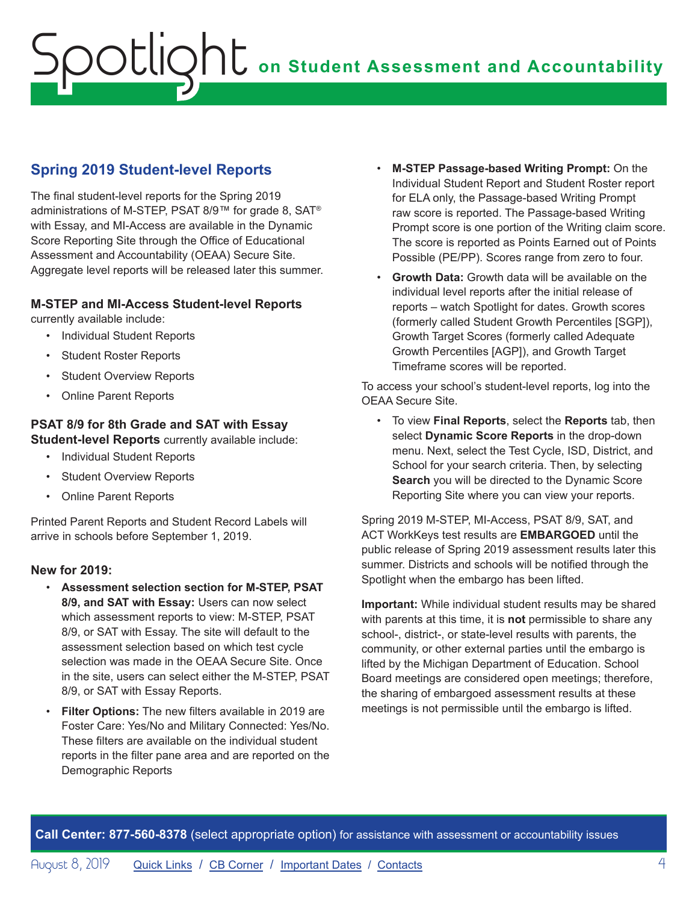## <span id="page-3-0"></span>**Spring 2019 Student-level Reports**

The final student-level reports for the Spring 2019 administrations of M-STEP, PSAT 8/9™ for grade 8, SAT® with Essay, and MI-Access are available in the Dynamic Score Reporting Site through the Office of Educational Assessment and Accountability (OEAA) Secure Site. Aggregate level reports will be released later this summer.

#### **M-STEP and MI-Access Student-level Reports**

currently available include:

- Individual Student Reports
- Student Roster Reports
- Student Overview Reports
- Online Parent Reports

### **PSAT 8/9 for 8th Grade and SAT with Essay**

**Student-level Reports** currently available include:

- Individual Student Reports
- Student Overview Reports
- Online Parent Reports

Printed Parent Reports and Student Record Labels will arrive in schools before September 1, 2019.

#### **New for 2019:**

- **Assessment selection section for M-STEP, PSAT 8/9, and SAT with Essay:** Users can now select which assessment reports to view: M-STEP, PSAT 8/9, or SAT with Essay. The site will default to the assessment selection based on which test cycle selection was made in the OEAA Secure Site. Once in the site, users can select either the M-STEP, PSAT 8/9, or SAT with Essay Reports.
- **Filter Options:** The new filters available in 2019 are Foster Care: Yes/No and Military Connected: Yes/No. These filters are available on the individual student reports in the filter pane area and are reported on the Demographic Reports
- **M-STEP Passage-based Writing Prompt:** On the Individual Student Report and Student Roster report for ELA only, the Passage-based Writing Prompt raw score is reported. The Passage-based Writing Prompt score is one portion of the Writing claim score. The score is reported as Points Earned out of Points Possible (PE/PP). Scores range from zero to four.
- **Growth Data:** Growth data will be available on the individual level reports after the initial release of reports – watch Spotlight for dates. Growth scores (formerly called Student Growth Percentiles [SGP]), Growth Target Scores (formerly called Adequate Growth Percentiles [AGP]), and Growth Target Timeframe scores will be reported.

To access your school's student-level reports, log into the OEAA Secure Site.

• To view **Final Reports**, select the **Reports** tab, then select **Dynamic Score Reports** in the drop-down menu. Next, select the Test Cycle, ISD, District, and School for your search criteria. Then, by selecting **Search** you will be directed to the Dynamic Score Reporting Site where you can view your reports.

Spring 2019 M-STEP, MI-Access, PSAT 8/9, SAT, and ACT WorkKeys test results are **EMBARGOED** until the public release of Spring 2019 assessment results later this summer. Districts and schools will be notified through the Spotlight when the embargo has been lifted.

**Important:** While individual student results may be shared with parents at this time, it is **not** permissible to share any school-, district-, or state-level results with parents, the community, or other external parties until the embargo is lifted by the Michigan Department of Education. School Board meetings are considered open meetings; therefore, the sharing of embargoed assessment results at these meetings is not permissible until the embargo is lifted.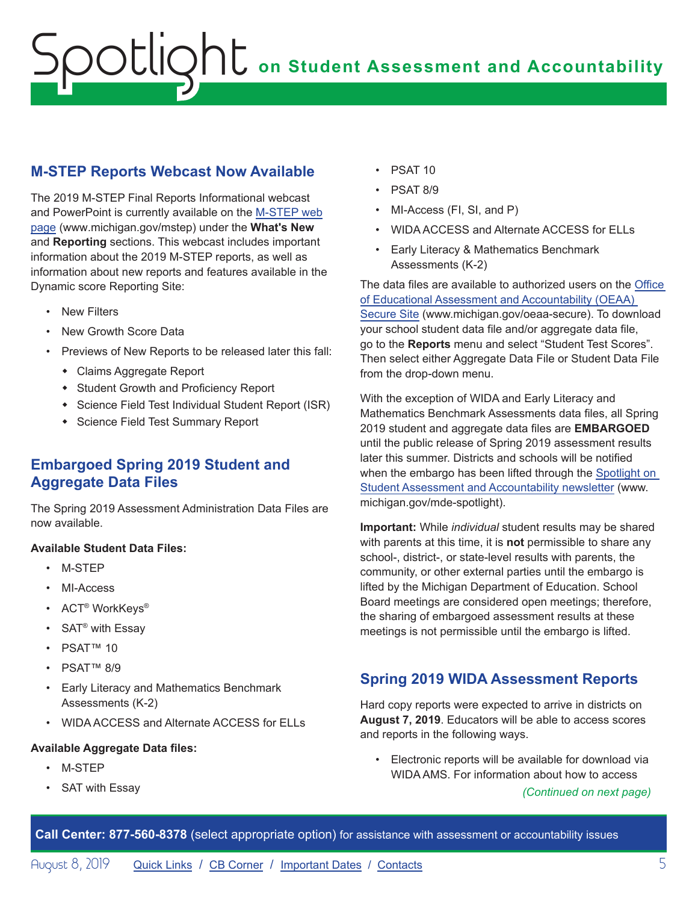## <span id="page-4-0"></span>**M-STEP Reports Webcast Now Available**

The 2019 M-STEP Final Reports Informational webcast and PowerPoint is currently available on the [M-STEP web](www.michigan.gov/mstep)  [page](www.michigan.gov/mstep) (www.michigan.gov/mstep) under the **What's New** and **Reporting** sections. This webcast includes important information about the 2019 M-STEP reports, as well as information about new reports and features available in the Dynamic score Reporting Site:

- **New Filters**
- New Growth Score Data
- Previews of New Reports to be released later this fall:
	- Claims Aggregate Report
	- Student Growth and Proficiency Report
	- \* Science Field Test Individual Student Report (ISR)
	- Science Field Test Summary Report

## **Embargoed Spring 2019 Student and Aggregate Data Files**

The Spring 2019 Assessment Administration Data Files are now available.

#### **Available Student Data Files:**

- M-STEP
- MI-Access
- ACT® WorkKeys®
- SAT® with Essay
- PSAT™ 10
- PSAT™ 8/9
- Early Literacy and Mathematics Benchmark Assessments (K-2)
- WIDA ACCESS and Alternate ACCESS for ELLs

#### **Available Aggregate Data files:**

- M-STEP
- SAT with Essay
- PSAT 10
- PSAT 8/9
- MI-Access (FI, SI, and P)
- WIDA ACCESS and Alternate ACCESS for ELLs
- Early Literacy & Mathematics Benchmark Assessments (K-2)

The data files are available to authorized users on the [Office](http://www.michigan.gov/oeaa-secure)  [of Educational Assessment and Accountability \(OEAA\)](http://www.michigan.gov/oeaa-secure)  [Secure Site](http://www.michigan.gov/oeaa-secure) (www.michigan.gov/oeaa-secure). To download your school student data file and/or aggregate data file, go to the **Reports** menu and select "Student Test Scores". Then select either Aggregate Data File or Student Data File from the drop-down menu.

With the exception of WIDA and Early Literacy and Mathematics Benchmark Assessments data files, all Spring 2019 student and aggregate data files are **EMBARGOED** until the public release of Spring 2019 assessment results later this summer. Districts and schools will be notified when the embargo has been lifted through the [Spotlight on](http://www.michigan.gov/mde-spotlight)  [Student Assessment and Accountability newsletter](http://www.michigan.gov/mde-spotlight) (www. michigan.gov/mde-spotlight).

**Important:** While *individual* student results may be shared with parents at this time, it is **not** permissible to share any school-, district-, or state-level results with parents, the community, or other external parties until the embargo is lifted by the Michigan Department of Education. School Board meetings are considered open meetings; therefore, the sharing of embargoed assessment results at these meetings is not permissible until the embargo is lifted.

## **Spring 2019 WIDA Assessment Reports**

Hard copy reports were expected to arrive in districts on **August 7, 2019**. Educators will be able to access scores and reports in the following ways.

• Electronic reports will be available for download via WIDA AMS. For information about how to access

*(Continued on next page)*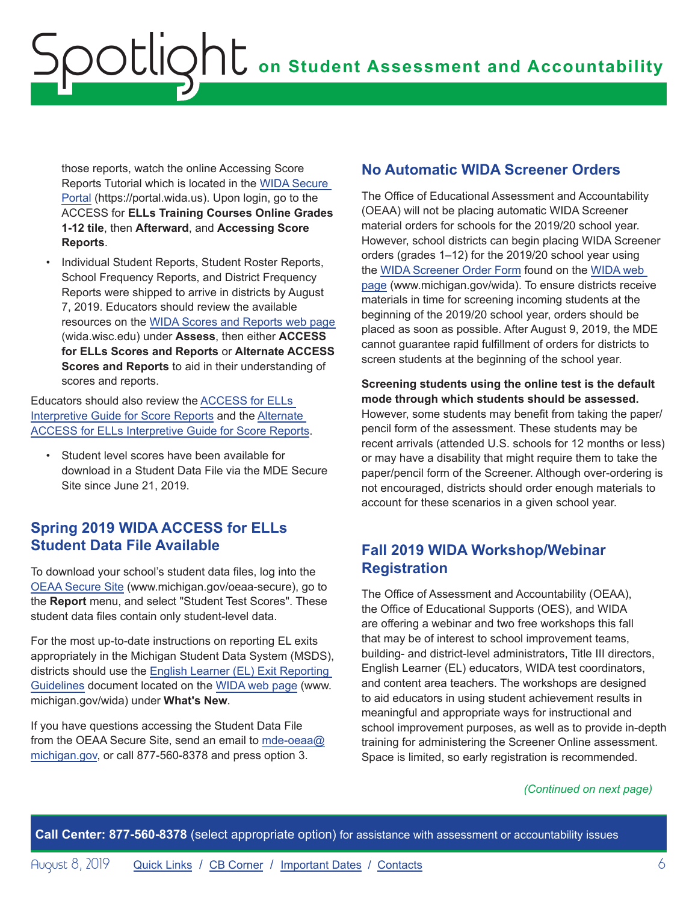<span id="page-5-0"></span>those reports, watch the online Accessing Score Reports Tutorial which is located in the [WIDA Secure](https://portal.wida.us)  [Portal](https://portal.wida.us) (https://portal.wida.us). Upon login, go to the ACCESS for **ELLs Training Courses Online Grades 1-12 tile**, then **Afterward**, and **Accessing Score Reports**.

• Individual Student Reports, Student Roster Reports, School Frequency Reports, and District Frequency Reports were shipped to arrive in districts by August 7, 2019. Educators should review the available resources on the [WIDA Scores and Reports web page](https://wida.wisc.edu)  (wida.wisc.edu) under **Assess**, then either **ACCESS for ELLs Scores and Reports** or **Alternate ACCESS Scores and Reports** to aid in their understanding of scores and reports.

Educators should also review the [ACCESS for ELLs](https://wida.wisc.edu/sites/default/files/resource/Interpretive-Guide.pdf)  [Interpretive Guide for Score Reports](https://wida.wisc.edu/sites/default/files/resource/Interpretive-Guide.pdf) and the [Alternate](https://wida.wisc.edu/sites/default/files/resource/Alt-Interpretive-Guide.pdf)  [ACCESS for ELLs Interpretive Guide for Score Reports.](https://wida.wisc.edu/sites/default/files/resource/Alt-Interpretive-Guide.pdf)

Student level scores have been available for download in a Student Data File via the MDE Secure Site since June 21, 2019.

## **Spring 2019 WIDA ACCESS for ELLs Student Data File Available**

To download your school's student data files, log into the [OEAA Secure Site](http://www.michigan.gov/oeaa-secure) (www.michigan.gov/oeaa-secure), go to the **Report** menu, and select "Student Test Scores". These student data files contain only student-level data.

For the most up-to-date instructions on reporting EL exits appropriately in the Michigan Student Data System (MSDS), districts should use the [English Learner \(EL\) Exit Reporting](https://www.michigan.gov/documents/mde/18-19_EL_Exit_Reporting_Guidelines_657839_7.pdf)  [Guidelines](https://www.michigan.gov/documents/mde/18-19_EL_Exit_Reporting_Guidelines_657839_7.pdf) document located on the [WIDA web page](www.michigan.gov/wida) (www. michigan.gov/wida) under **What's New**.

If you have questions accessing the Student Data File from the OEAA Secure Site, send an email to [mde-oeaa@](mailto:mde-oeaa%40michigan.gov?subject=) [michigan.gov](mailto:mde-oeaa%40michigan.gov?subject=), or call 877-560-8378 and press option 3.

## **No Automatic WIDA Screener Orders**

The Office of Educational Assessment and Accountability (OEAA) will not be placing automatic WIDA Screener material orders for schools for the 2019/20 school year. However, school districts can begin placing WIDA Screener orders (grades 1–12) for the 2019/20 school year using the [WIDA Screener Order Form](https://www.michigan.gov/documents/mde/WIDA_Paper_Screener_Fillable_Order_Form_654070_7.pdf) found on the [WIDA web](www.michigan.gov/wida)  [page](www.michigan.gov/wida) (www.michigan.gov/wida). To ensure districts receive materials in time for screening incoming students at the beginning of the 2019/20 school year, orders should be placed as soon as possible. After August 9, 2019, the MDE cannot guarantee rapid fulfillment of orders for districts to screen students at the beginning of the school year.

**Screening students using the online test is the default mode through which students should be assessed.** However, some students may benefit from taking the paper/ pencil form of the assessment. These students may be recent arrivals (attended U.S. schools for 12 months or less) or may have a disability that might require them to take the paper/pencil form of the Screener. Although over-ordering is not encouraged, districts should order enough materials to account for these scenarios in a given school year.

## **Fall 2019 WIDA Workshop/Webinar Registration**

The Office of Assessment and Accountability (OEAA), the Office of Educational Supports (OES), and WIDA are offering a webinar and two free workshops this fall that may be of interest to school improvement teams, building- and district-level administrators, Title III directors, English Learner (EL) educators, WIDA test coordinators, and content area teachers. The workshops are designed to aid educators in using student achievement results in meaningful and appropriate ways for instructional and school improvement purposes, as well as to provide in-depth training for administering the Screener Online assessment. Space is limited, so early registration is recommended.

#### *(Continued on next page)*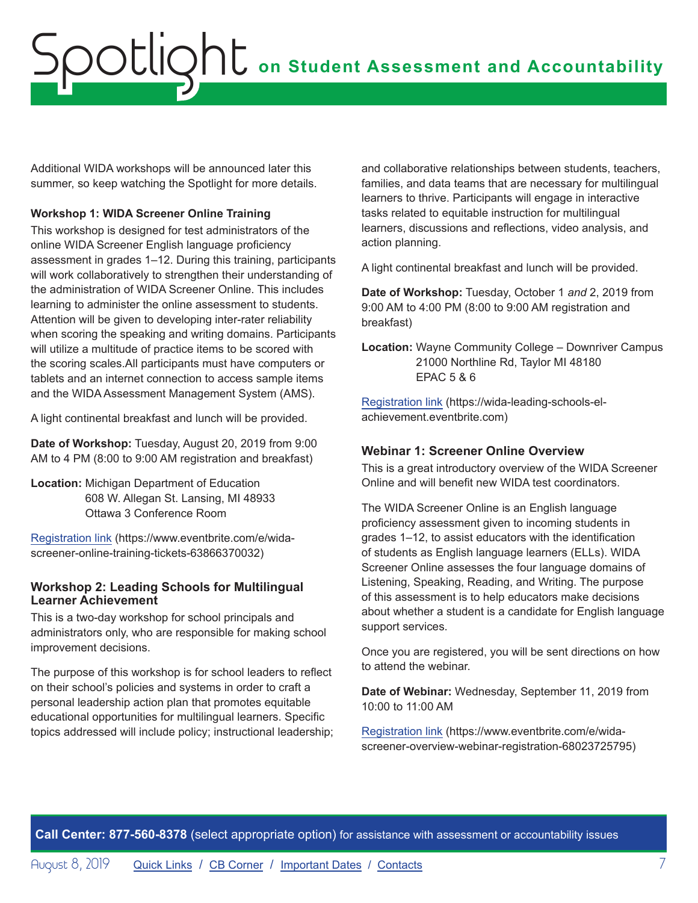Additional WIDA workshops will be announced later this summer, so keep watching the Spotlight for more details.

#### **Workshop 1: WIDA Screener Online Training**

This workshop is designed for test administrators of the online WIDA Screener English language proficiency assessment in grades 1–12. During this training, participants will work collaboratively to strengthen their understanding of the administration of WIDA Screener Online. This includes learning to administer the online assessment to students. Attention will be given to developing inter-rater reliability when scoring the speaking and writing domains. Participants will utilize a multitude of practice items to be scored with the scoring scales.All participants must have computers or tablets and an internet connection to access sample items and the WIDA Assessment Management System (AMS).

A light continental breakfast and lunch will be provided.

**Date of Workshop:** Tuesday, August 20, 2019 from 9:00 AM to 4 PM (8:00 to 9:00 AM registration and breakfast)

**Location:** Michigan Department of Education 608 W. Allegan St. Lansing, MI 48933 Ottawa 3 Conference Room

[Registration link](https://www.eventbrite.com/e/wida-screener-online-training-tickets-63866370032) (https://www.eventbrite.com/e/widascreener-online-training-tickets-63866370032)

#### **Workshop 2: Leading Schools for Multilingual Learner Achievement**

This is a two-day workshop for school principals and administrators only, who are responsible for making school improvement decisions.

The purpose of this workshop is for school leaders to reflect on their school's policies and systems in order to craft a personal leadership action plan that promotes equitable educational opportunities for multilingual learners. Specific topics addressed will include policy; instructional leadership; and collaborative relationships between students, teachers, families, and data teams that are necessary for multilingual learners to thrive. Participants will engage in interactive tasks related to equitable instruction for multilingual learners, discussions and reflections, video analysis, and action planning.

A light continental breakfast and lunch will be provided.

**Date of Workshop:** Tuesday, October 1 *and* 2, 2019 from 9:00 AM to 4:00 PM (8:00 to 9:00 AM registration and breakfast)

**Location:** Wayne Community College – Downriver Campus 21000 Northline Rd, Taylor MI 48180 EPAC 5 & 6

[Registration link](https://wida-leading-schools-el-achievement.eventbrite.com) (https://wida-leading-schools-elachievement.eventbrite.com)

#### **Webinar 1: Screener Online Overview**

This is a great introductory overview of the WIDA Screener Online and will benefit new WIDA test coordinators.

The WIDA Screener Online is an English language proficiency assessment given to incoming students in grades 1–12, to assist educators with the identification of students as English language learners (ELLs). WIDA Screener Online assesses the four language domains of Listening, Speaking, Reading, and Writing. The purpose of this assessment is to help educators make decisions about whether a student is a candidate for English language support services.

Once you are registered, you will be sent directions on how to attend the webinar.

**Date of Webinar:** Wednesday, September 11, 2019 from 10:00 to 11:00 AM

[Registration link](https://www.eventbrite.com/e/wida-screener-overview-webinar-registration-68023725795) (https://www.eventbrite.com/e/widascreener-overview-webinar-registration-68023725795)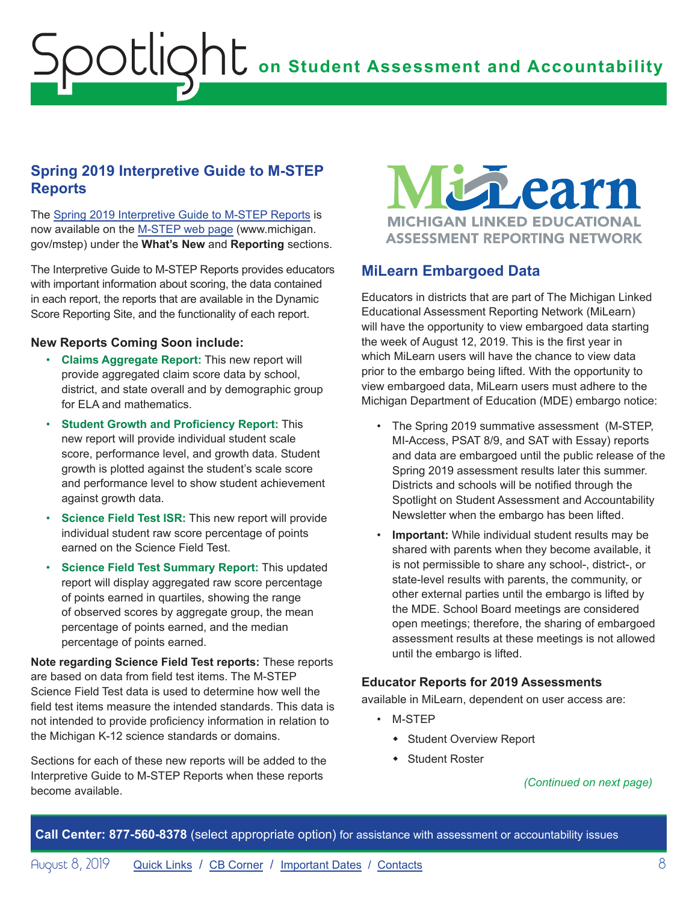### <span id="page-7-0"></span>**Spring 2019 Interpretive Guide to M-STEP Reports**

The [Spring 2019 Interpretive Guide to M-STEP Reports](https://www.michigan.gov/documents/mde/2019_Interpretive_Guide_to_M-STEP_Reports_661956_7.pdf) is now available on the [M-STEP web page](www.michigan.gov/mstep) (www.michigan. gov/mstep) under the **What's New** and **Reporting** sections.

The Interpretive Guide to M-STEP Reports provides educators with important information about scoring, the data contained in each report, the reports that are available in the Dynamic Score Reporting Site, and the functionality of each report.

#### **New Reports Coming Soon include:**

- **Claims Aggregate Report:** This new report will provide aggregated claim score data by school, district, and state overall and by demographic group for FLA and mathematics.
- **Student Growth and Proficiency Report:** This new report will provide individual student scale score, performance level, and growth data. Student growth is plotted against the student's scale score and performance level to show student achievement against growth data.
- **Science Field Test ISR: This new report will provide** individual student raw score percentage of points earned on the Science Field Test.
- **Science Field Test Summary Report:** This updated report will display aggregated raw score percentage of points earned in quartiles, showing the range of observed scores by aggregate group, the mean percentage of points earned, and the median percentage of points earned.

**Note regarding Science Field Test reports:** These reports are based on data from field test items. The M-STEP Science Field Test data is used to determine how well the field test items measure the intended standards. This data is not intended to provide proficiency information in relation to the Michigan K-12 science standards or domains.

Sections for each of these new reports will be added to the Interpretive Guide to M-STEP Reports when these reports become available.

thearn **MICHIGAN LINKED EDUCATIONAL ASSESSMENT REPORTING NETWORK** 

### **MiLearn Embargoed Data**

Educators in districts that are part of The Michigan Linked Educational Assessment Reporting Network (MiLearn) will have the opportunity to view embargoed data starting the week of August 12, 2019. This is the first year in which MiLearn users will have the chance to view data prior to the embargo being lifted. With the opportunity to view embargoed data, MiLearn users must adhere to the Michigan Department of Education (MDE) embargo notice:

- The Spring 2019 summative assessment (M-STEP, MI-Access, PSAT 8/9, and SAT with Essay) reports and data are embargoed until the public release of the Spring 2019 assessment results later this summer. Districts and schools will be notified through the Spotlight on Student Assessment and Accountability Newsletter when the embargo has been lifted.
- **Important:** While individual student results may be shared with parents when they become available, it is not permissible to share any school-, district-, or state-level results with parents, the community, or other external parties until the embargo is lifted by the MDE. School Board meetings are considered open meetings; therefore, the sharing of embargoed assessment results at these meetings is not allowed until the embargo is lifted.

#### **Educator Reports for 2019 Assessments**

available in MiLearn, dependent on user access are:

- M-STEP
	- Student Overview Report
	- Student Roster

#### *(Continued on next page)*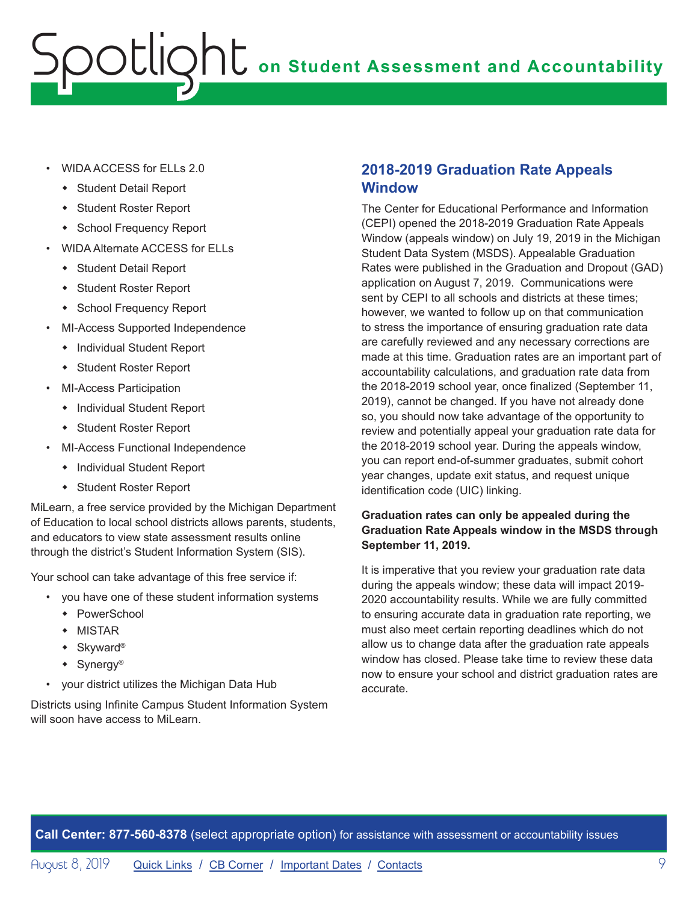- <span id="page-8-0"></span>• WIDA ACCESS for ELLs 2.0
	- Student Detail Report
	- Student Roster Report
	- **\*** School Frequency Report
- WIDA Alternate ACCESS for ELLs
	- Student Detail Report
	- Student Roster Report
	- School Frequency Report
- MI-Access Supported Independence
	- Individual Student Report
	- Student Roster Report
- MI-Access Participation
	- Individual Student Report
	- Student Roster Report
- MI-Access Functional Independence
	- Individual Student Report
	- Student Roster Report

MiLearn, a free service provided by the Michigan Department of Education to local school districts allows parents, students, and educators to view state assessment results online through the district's Student Information System (SIS).

Your school can take advantage of this free service if:

- you have one of these student information systems
	- $\leftarrow$  PowerSchool
	- $\bullet$  MISTAR
	- $\bullet$  Skyward®
	- $\bullet$  Synergy<sup>®</sup>
- your district utilizes the Michigan Data Hub

Districts using Infinite Campus Student Information System will soon have access to MiLearn.

### **2018-2019 Graduation Rate Appeals Window**

The Center for Educational Performance and Information (CEPI) opened the 2018-2019 Graduation Rate Appeals Window (appeals window) on July 19, 2019 in the Michigan Student Data System (MSDS). Appealable Graduation Rates were published in the Graduation and Dropout (GAD) application on August 7, 2019. Communications were sent by CEPI to all schools and districts at these times; however, we wanted to follow up on that communication to stress the importance of ensuring graduation rate data are carefully reviewed and any necessary corrections are made at this time. Graduation rates are an important part of accountability calculations, and graduation rate data from the 2018-2019 school year, once finalized (September 11, 2019), cannot be changed. If you have not already done so, you should now take advantage of the opportunity to review and potentially appeal your graduation rate data for the 2018-2019 school year. During the appeals window, you can report end-of-summer graduates, submit cohort year changes, update exit status, and request unique identification code (UIC) linking.

#### **Graduation rates can only be appealed during the Graduation Rate Appeals window in the MSDS through September 11, 2019.**

It is imperative that you review your graduation rate data during the appeals window; these data will impact 2019- 2020 accountability results. While we are fully committed to ensuring accurate data in graduation rate reporting, we must also meet certain reporting deadlines which do not allow us to change data after the graduation rate appeals window has closed. Please take time to review these data now to ensure your school and district graduation rates are accurate.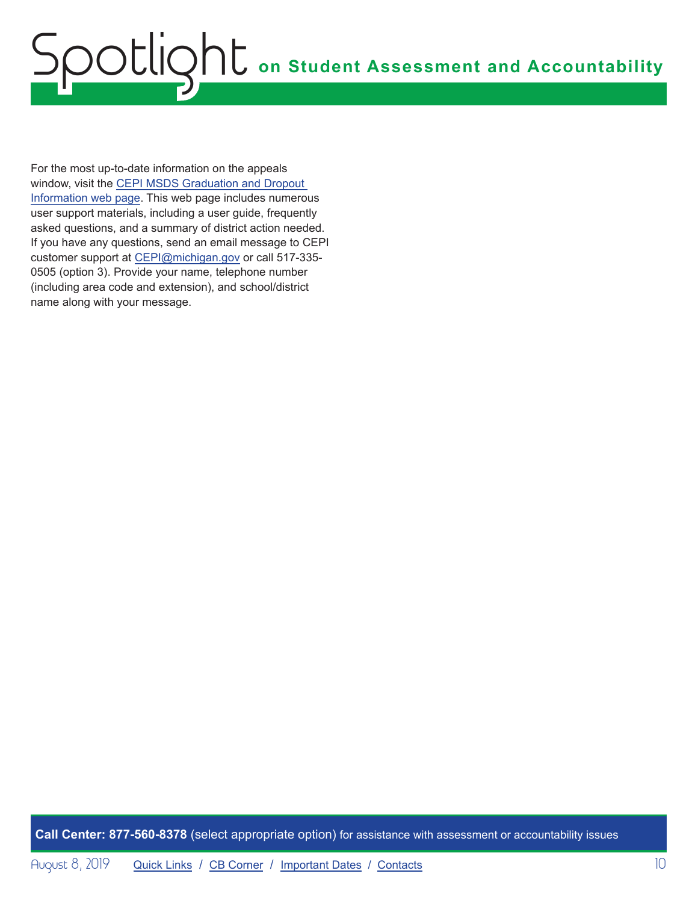For the most up-to-date information on the appeals window, visit the [CEPI MSDS Graduation and Dropout](http://www.michigan.gov/cepi/0,1607,7-113-986_50502_56418---,00.html)  [Information web page](http://www.michigan.gov/cepi/0,1607,7-113-986_50502_56418---,00.html). This web page includes numerous user support materials, including a user guide, frequently asked questions, and a summary of district action needed. If you have any questions, send an email message to CEPI customer support at [CEPI@michigan.gov](mailto:CEPI%40michigan.gov?subject=) or call 517-335- 0505 (option 3). Provide your name, telephone number (including area code and extension), and school/district name along with your message.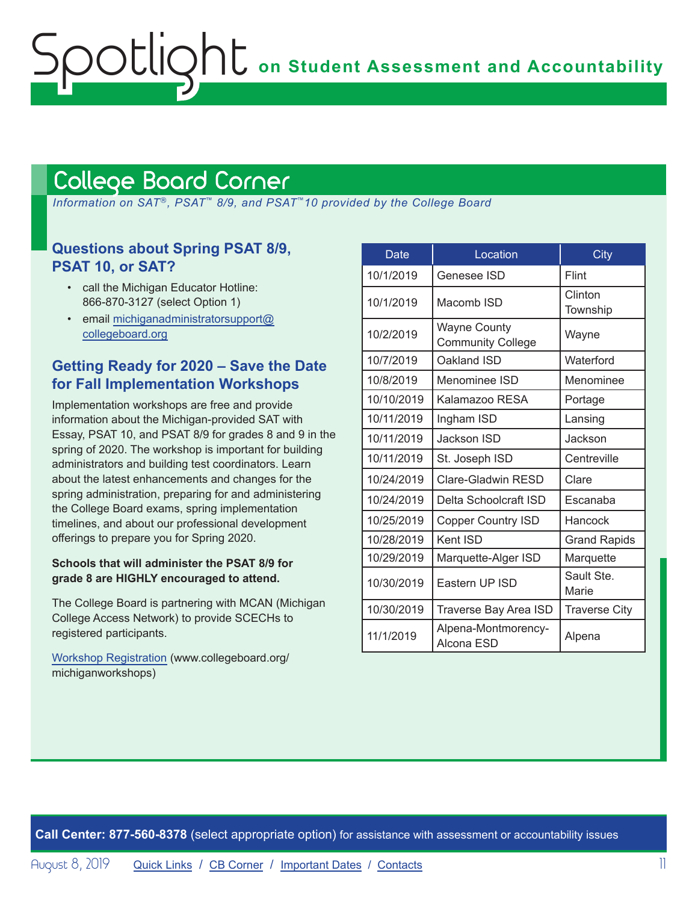## <span id="page-10-1"></span>College Board Corner

<span id="page-10-0"></span>ootlic

 *Information on SAT*®*, PSAT*™ *8/9, and PSAT*™*10 provided by the College Board*

### **Questions about Spring PSAT 8/9, PSAT 10, or SAT?**

- call the Michigan Educator Hotline: 866-870-3127 (select Option 1)
- email [michiganadministratorsupport@](mailto:michiganadministratorsupport%40collegeboard.org?subject=) [collegeboard.org](mailto:michiganadministratorsupport%40collegeboard.org?subject=)

## **Getting Ready for 2020 – Save the Date for Fall Implementation Workshops**

Implementation workshops are free and provide information about the Michigan-provided SAT with Essay, PSAT 10, and PSAT 8/9 for grades 8 and 9 in the spring of 2020. The workshop is important for building administrators and building test coordinators. Learn about the latest enhancements and changes for the spring administration, preparing for and administering the College Board exams, spring implementation timelines, and about our professional development offerings to prepare you for Spring 2020.

#### **Schools that will administer the PSAT 8/9 for grade 8 are HIGHLY encouraged to attend.**

The College Board is partnering with MCAN (Michigan College Access Network) to provide SCECHs to registered participants.

[Workshop Registration](http://www.collegeboard.org/michiganworkshops) (www.collegeboard.org/ michiganworkshops)

| <b>Date</b> | Location                                        | City                 |
|-------------|-------------------------------------------------|----------------------|
| 10/1/2019   | Genesee ISD                                     | Flint                |
| 10/1/2019   | Macomb ISD                                      | Clinton<br>Township  |
| 10/2/2019   | <b>Wayne County</b><br><b>Community College</b> | Wayne                |
| 10/7/2019   | Oakland ISD                                     | Waterford            |
| 10/8/2019   | Menominee ISD                                   | Menominee            |
| 10/10/2019  | Kalamazoo RESA                                  | Portage              |
| 10/11/2019  | Ingham ISD                                      | Lansing              |
| 10/11/2019  | Jackson ISD                                     | Jackson              |
| 10/11/2019  | St. Joseph ISD                                  | Centreville          |
| 10/24/2019  | Clare-Gladwin RESD                              | Clare                |
| 10/24/2019  | Delta Schoolcraft ISD                           | Escanaba             |
| 10/25/2019  | <b>Copper Country ISD</b>                       | Hancock              |
| 10/28/2019  | Kent ISD                                        | <b>Grand Rapids</b>  |
| 10/29/2019  | Marquette-Alger ISD                             | Marquette            |
| 10/30/2019  | Eastern UP ISD                                  | Sault Ste.<br>Marie  |
| 10/30/2019  | Traverse Bay Area ISD                           | <b>Traverse City</b> |
| 11/1/2019   | Alpena-Montmorency-<br>Alcona ESD               | Alpena               |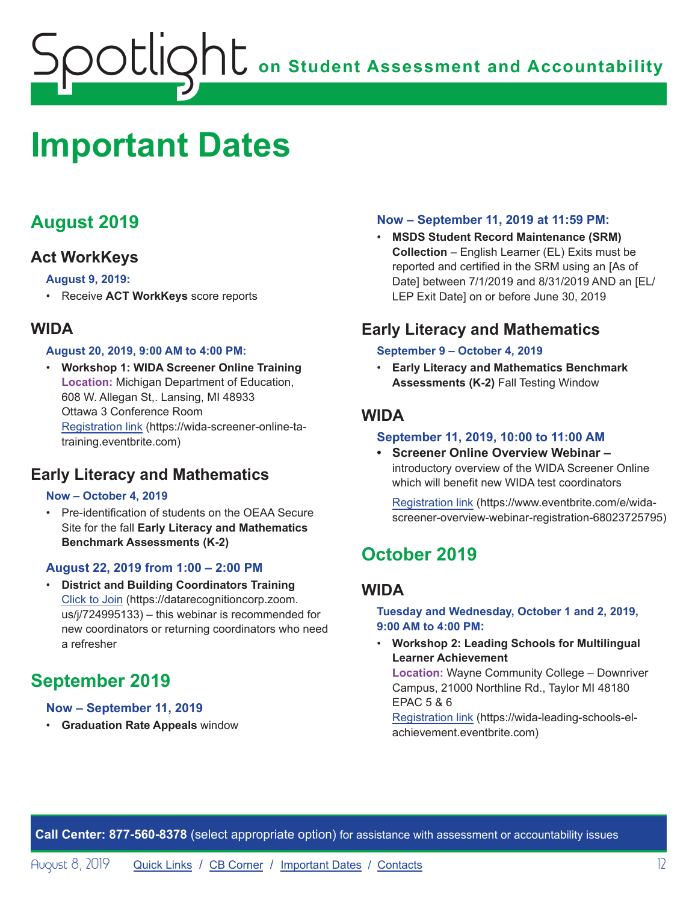## <span id="page-11-1"></span><span id="page-11-0"></span>**Important Dates**

## **August 2019**

## **Act WorkKeys**

#### **August 9, 2019:**

• Receive **ACT WorkKeys** score reports

## **WIDA**

#### **August 20, 2019, 9:00 AM to 4:00 PM:**

• **Workshop 1: WIDA Screener Online Training Location:** Michigan Department of Education, 608 W. Allegan St,. Lansing, MI 48933 Ottawa 3 Conference Room [Registration link](https://wida-screener-online-ta-training.eventbrite.com) (https://wida-screener-online-tatraining.eventbrite.com)

## **Early Literacy and Mathematics**

#### **Now – October 4, 2019**

• Pre-identification of students on the OEAA Secure Site for the fall **Early Literacy and Mathematics Benchmark Assessments (K-2)**

#### **August 22, 2019 from 1:00 – 2:00 PM**

• **District and Building Coordinators Training**  [Click to Join](https://datarecognitioncorp.zoom.us/j/724995133) (https://datarecognitioncorp.zoom. us/j/724995133) – this webinar is recommended for new coordinators or returning coordinators who need a refresher

## **September 2019**

#### **Now – September 11, 2019**

• **Graduation Rate Appeals** window

#### **Now – September 11, 2019 at 11:59 PM:**

• **MSDS Student Record Maintenance (SRM) Collection** – English Learner (EL) Exits must be reported and certified in the SRM using an [As of Date] between 7/1/2019 and 8/31/2019 AND an [EL/ LEP Exit Date] on or before June 30, 2019

## **Early Literacy and Mathematics**

#### **September 9 – October 4, 2019**

• **Early Literacy and Mathematics Benchmark Assessments (K-2)** Fall Testing Window

### **WIDA**

#### **September 11, 2019, 10:00 to 11:00 AM**

**• Screener Online Overview Webinar –**  introductory overview of the WIDA Screener Online which will benefit new WIDA test coordinators

[Registration link](https://www.eventbrite.com/e/wida-screener-overview-webinar-registration-68023725795) (https://www.eventbrite.com/e/widascreener-overview-webinar-registration-68023725795)

## **October 2019**

## **WIDA**

**Tuesday and Wednesday, October 1 and 2, 2019, 9:00 AM to 4:00 PM:** 

• **Workshop 2: Leading Schools for Multilingual Learner Achievement** 

**Location:** Wayne Community College – Downriver Campus, 21000 Northline Rd., Taylor MI 48180 EPAC 5 & 6

[Registration link](https://wida-leading-schools-el-achievement.eventbrite.com) (https://wida-leading-schools-elachievement.eventbrite.com)